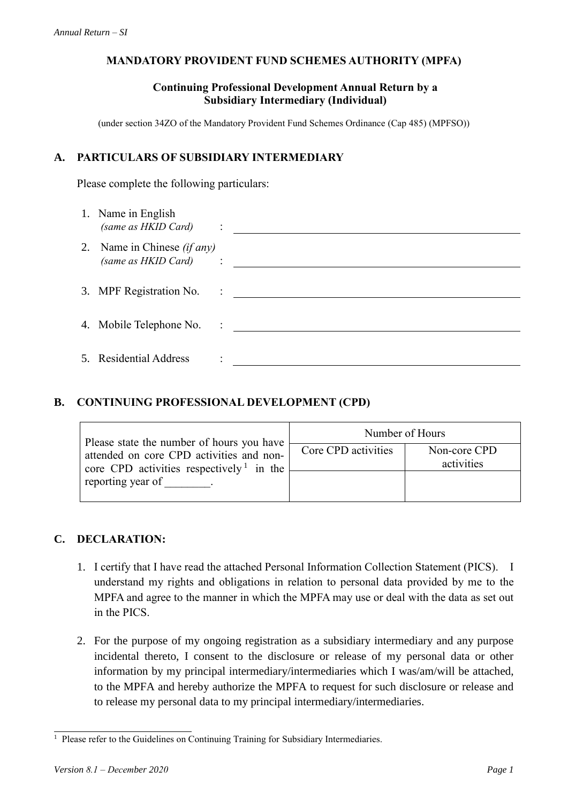# **MANDATORY PROVIDENT FUND SCHEMES AUTHORITY (MPFA)**

## **Continuing Professional Development Annual Return by a Subsidiary Intermediary (Individual)**

(under section 34ZO of the Mandatory Provident Fund Schemes Ordinance (Cap 485) (MPFSO))

## **A. PARTICULARS OF SUBSIDIARY INTERMEDIARY**

Please complete the following particulars:

| 1. Name in English<br>(same as HKID Card) :                 |  |
|-------------------------------------------------------------|--|
| 2. Name in Chinese <i>(if any)</i><br>(same as HKID Card) : |  |
| 3. MPF Registration No. :                                   |  |
| 4. Mobile Telephone No. :                                   |  |
| 5. Residential Address                                      |  |

### **B. CONTINUING PROFESSIONAL DEVELOPMENT (CPD)**

| Please state the number of hours you have<br>attended on core CPD activities and non-<br>core CPD activities respectively <sup>1</sup> in the<br>reporting year of | Number of Hours     |                            |  |
|--------------------------------------------------------------------------------------------------------------------------------------------------------------------|---------------------|----------------------------|--|
|                                                                                                                                                                    | Core CPD activities | Non-core CPD<br>activities |  |
|                                                                                                                                                                    |                     |                            |  |

# **C. DECLARATION:**

- 1. I certify that I have read the attached Personal Information Collection Statement (PICS). I understand my rights and obligations in relation to personal data provided by me to the MPFA and agree to the manner in which the MPFA may use or deal with the data as set out in the PICS.
- 2. For the purpose of my ongoing registration as a subsidiary intermediary and any purpose incidental thereto, I consent to the disclosure or release of my personal data or other information by my principal intermediary/intermediaries which I was/am/will be attached, to the MPFA and hereby authorize the MPFA to request for such disclosure or release and to release my personal data to my principal intermediary/intermediaries.

<sup>&</sup>lt;sup>1</sup> Please refer to the Guidelines on Continuing Training for Subsidiary Intermediaries.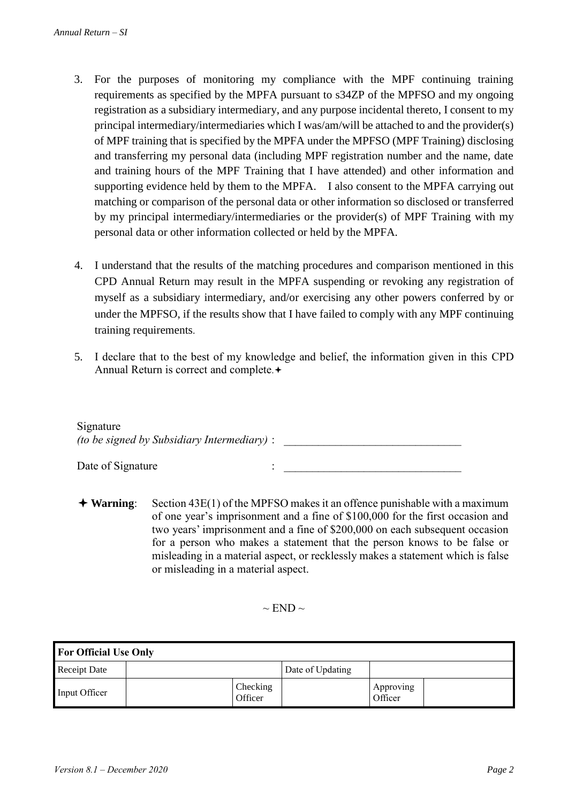- 3. For the purposes of monitoring my compliance with the MPF continuing training requirements as specified by the MPFA pursuant to s34ZP of the MPFSO and my ongoing registration as a subsidiary intermediary, and any purpose incidental thereto, I consent to my principal intermediary/intermediaries which I was/am/will be attached to and the provider(s) of MPF training that is specified by the MPFA under the MPFSO (MPF Training) disclosing and transferring my personal data (including MPF registration number and the name, date and training hours of the MPF Training that I have attended) and other information and supporting evidence held by them to the MPFA. I also consent to the MPFA carrying out matching or comparison of the personal data or other information so disclosed or transferred by my principal intermediary/intermediaries or the provider(s) of MPF Training with my personal data or other information collected or held by the MPFA.
- 4. I understand that the results of the matching procedures and comparison mentioned in this CPD Annual Return may result in the MPFA suspending or revoking any registration of myself as a subsidiary intermediary, and/or exercising any other powers conferred by or under the MPFSO, if the results show that I have failed to comply with any MPF continuing training requirements.
- 5. I declare that to the best of my knowledge and belief, the information given in this CPD Annual Return is correct and complete.

| Signature                                          |  |
|----------------------------------------------------|--|
| <i>(to be signed by Subsidiary Intermediary)</i> : |  |
|                                                    |  |

 **Warning**: Section 43E(1) of the MPFSO makes it an offence punishable with a maximum of one year's imprisonment and a fine of \$100,000 for the first occasion and two years' imprisonment and a fine of \$200,000 on each subsequent occasion for a person who makes a statement that the person knows to be false or misleading in a material aspect, or recklessly makes a statement which is false or misleading in a material aspect.

 $\sim$  END  $\sim$ 

| <b>For Official Use Only</b> |  |                     |                  |                      |  |  |  |  |  |  |  |
|------------------------------|--|---------------------|------------------|----------------------|--|--|--|--|--|--|--|
| <b>Receipt Date</b>          |  |                     | Date of Updating |                      |  |  |  |  |  |  |  |
| Input Officer                |  | Checking<br>Officer |                  | Approving<br>Officer |  |  |  |  |  |  |  |

Date of Signature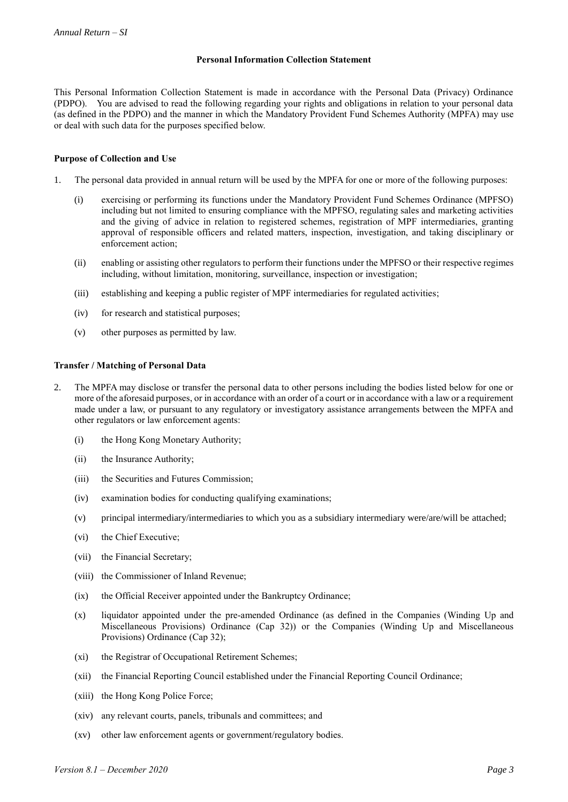#### **Personal Information Collection Statement**

This Personal Information Collection Statement is made in accordance with the Personal Data (Privacy) Ordinance (PDPO). You are advised to read the following regarding your rights and obligations in relation to your personal data (as defined in the PDPO) and the manner in which the Mandatory Provident Fund Schemes Authority (MPFA) may use or deal with such data for the purposes specified below.

#### **Purpose of Collection and Use**

- 1. The personal data provided in annual return will be used by the MPFA for one or more of the following purposes:
	- (i) exercising or performing its functions under the Mandatory Provident Fund Schemes Ordinance (MPFSO) including but not limited to ensuring compliance with the MPFSO, regulating sales and marketing activities and the giving of advice in relation to registered schemes, registration of MPF intermediaries, granting approval of responsible officers and related matters, inspection, investigation, and taking disciplinary or enforcement action;
	- (ii) enabling or assisting other regulators to perform their functions under the MPFSO or their respective regimes including, without limitation, monitoring, surveillance, inspection or investigation;
	- (iii) establishing and keeping a public register of MPF intermediaries for regulated activities;
	- (iv) for research and statistical purposes;
	- (v) other purposes as permitted by law.

#### **Transfer / Matching of Personal Data**

- 2. The MPFA may disclose or transfer the personal data to other persons including the bodies listed below for one or more of the aforesaid purposes, or in accordance with an order of a court or in accordance with a law or a requirement made under a law, or pursuant to any regulatory or investigatory assistance arrangements between the MPFA and other regulators or law enforcement agents:
	- (i) the Hong Kong Monetary Authority;
	- (ii) the Insurance Authority;
	- (iii) the Securities and Futures Commission;
	- (iv) examination bodies for conducting qualifying examinations;
	- (v) principal intermediary/intermediaries to which you as a subsidiary intermediary were/are/will be attached;
	- (vi) the Chief Executive;
	- (vii) the Financial Secretary;
	- (viii) the Commissioner of Inland Revenue;
	- (ix) the Official Receiver appointed under the Bankruptcy Ordinance;
	- (x) liquidator appointed under the pre-amended Ordinance (as defined in the Companies (Winding Up and Miscellaneous Provisions) Ordinance (Cap 32)) or the Companies (Winding Up and Miscellaneous Provisions) Ordinance (Cap 32);
	- (xi) the Registrar of Occupational Retirement Schemes;
	- (xii) the Financial Reporting Council established under the Financial Reporting Council Ordinance;
	- (xiii) the Hong Kong Police Force;
	- (xiv) any relevant courts, panels, tribunals and committees; and
	- (xv) other law enforcement agents or government/regulatory bodies.